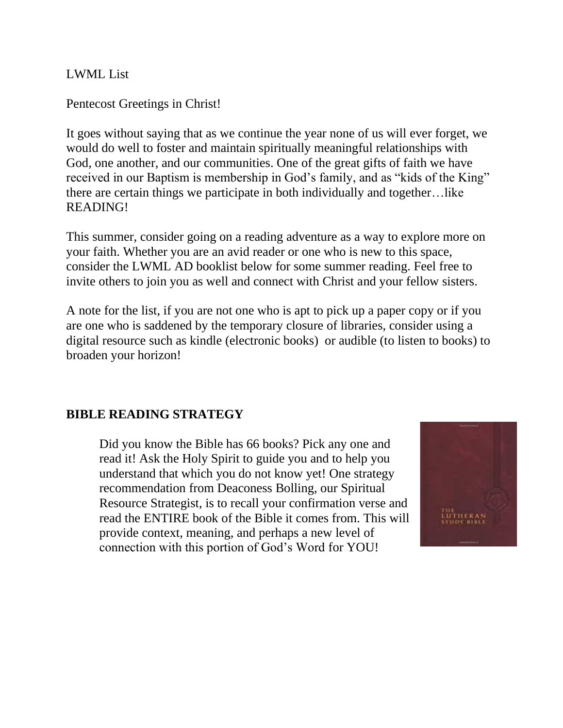LWML List

Pentecost Greetings in Christ!

It goes without saying that as we continue the year none of us will ever forget, we would do well to foster and maintain spiritually meaningful relationships with God, one another, and our communities. One of the great gifts of faith we have received in our Baptism is membership in God's family, and as "kids of the King" there are certain things we participate in both individually and together…like READING!

This summer, consider going on a reading adventure as a way to explore more on your faith. Whether you are an avid reader or one who is new to this space, consider the LWML AD booklist below for some summer reading. Feel free to invite others to join you as well and connect with Christ and your fellow sisters.

A note for the list, if you are not one who is apt to pick up a paper copy or if you are one who is saddened by the temporary closure of libraries, consider using a digital resource such as kindle (electronic books) or audible (to listen to books) to broaden your horizon!

### **BIBLE READING STRATEGY**

Did you know the Bible has 66 books? Pick any one and read it! Ask the Holy Spirit to guide you and to help you understand that which you do not know yet! One strategy recommendation from Deaconess Bolling, our Spiritual Resource Strategist, is to recall your confirmation verse and read the ENTIRE book of the Bible it comes from. This will provide context, meaning, and perhaps a new level of connection with this portion of God's Word for YOU!

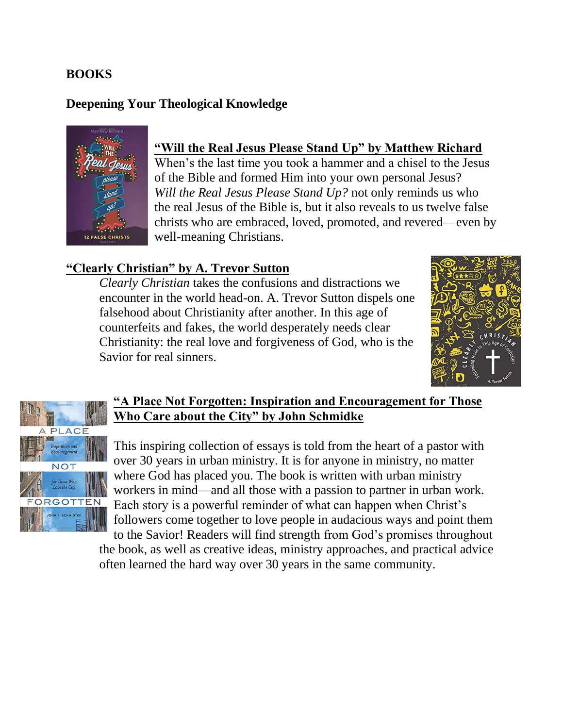#### **BOOKS**

#### **Deepening Your Theological Knowledge**



### **"Will the Real Jesus Please Stand Up" by Matthew Richard**

When's the last time you took a hammer and a chisel to the Jesus of the Bible and formed Him into your own personal Jesus? *Will the Real Jesus Please Stand Up?* not only reminds us who the real Jesus of the Bible is, but it also reveals to us twelve false christs who are embraced, loved, promoted, and revered—even by well-meaning Christians.

#### **"Clearly Christian" by A. Trevor Sutton**

*Clearly Christian* takes the confusions and distractions we encounter in the world head-on. A. Trevor Sutton dispels one falsehood about Christianity after another. In this age of counterfeits and fakes, the world desperately needs clear Christianity: the real love and forgiveness of God, who is the Savior for real sinners.





#### **"A Place Not Forgotten: Inspiration and Encouragement for Those Who Care about the City" by John Schmidke**

This inspiring collection of essays is told from the heart of a pastor with over 30 years in urban ministry. It is for anyone in ministry, no matter where God has placed you. The book is written with urban ministry workers in mind—and all those with a passion to partner in urban work. Each story is a powerful reminder of what can happen when Christ's followers come together to love people in audacious ways and point them

to the Savior! Readers will find strength from God's promises throughout the book, as well as creative ideas, ministry approaches, and practical advice often learned the hard way over 30 years in the same community.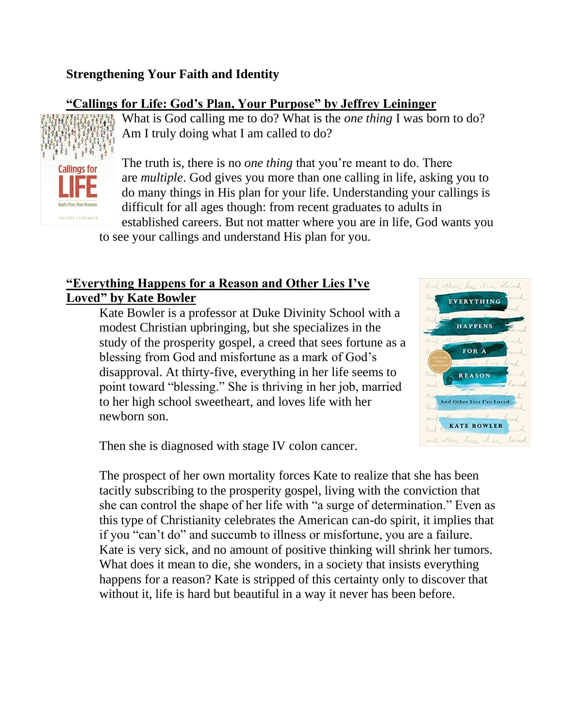## **Strengthening Your Faith and Identity**

### **"Callings for Life: God's Plan, Your Purpose" by Jeffrey Leininger**



What is God calling me to do? What is the *one thing* I was born to do? Am I truly doing what I am called to do?

The truth is, there is no *one thing* that you're meant to do. There are *multiple*. God gives you more than one calling in life, asking you to do many things in His plan for your life. Understanding your callings is difficult for all ages though: from recent graduates to adults in established careers. But not matter where you are in life, God wants you

to see your callings and understand His plan for you.

## **"Everything Happens for a Reason and Other Lies I've Loved" by Kate Bowler**

Kate Bowler is a professor at Duke Divinity School with a modest Christian upbringing, but she specializes in the study of the prosperity gospel, a creed that sees fortune as a blessing from God and misfortune as a mark of God's disapproval. At thirty-five, everything in her life seems to point toward "blessing." She is thriving in her job, married to her high school sweetheart, and loves life with her newborn son.



Then she is diagnosed with stage IV colon cancer.

The prospect of her own mortality forces Kate to realize that she has been tacitly subscribing to the prosperity gospel, living with the conviction that she can control the shape of her life with "a surge of determination." Even as this type of Christianity celebrates the American can-do spirit, it implies that if you "can't do" and succumb to illness or misfortune, you are a failure. Kate is very sick, and no amount of positive thinking will shrink her tumors. What does it mean to die, she wonders, in a society that insists everything happens for a reason? Kate is stripped of this certainty only to discover that without it, life is hard but beautiful in a way it never has been before.